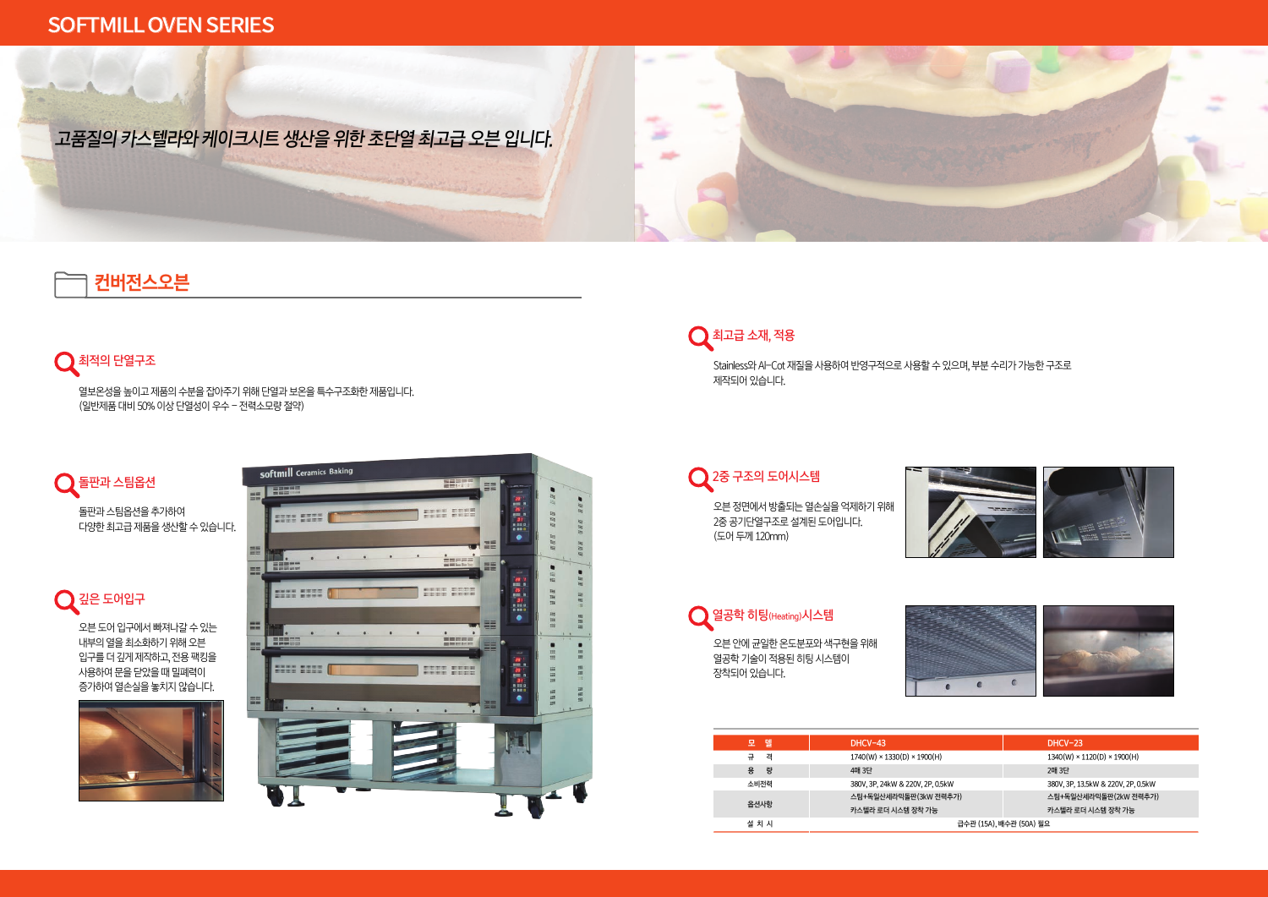Stainless와 Al-Cot 재질을 사용하여 반영구적으로 사용할 수 있으며, 부분 수리가 가능한 구조로 제작되어 있습니다.

### $\bigcirc$  2중 구조의 도어시스템

오븐 정면에서 방출되는 열손실을 억제하기 위해 2중 공기단열구조로 설계된 도어입니다. (도어 두께 120mm)



오븐 안에 균일한 온도분포와 색구현을 위해 열공학 기술이 적용된 히팅 시스템이 장착되어 있습니다.



| $1740(W) \times 1330(D) \times 1900(H)$<br>$1340(W) \times 1120(D) \times 1900(H)$<br>격 |  |  |
|-----------------------------------------------------------------------------------------|--|--|
|                                                                                         |  |  |
| 량<br>용<br>4매 3단<br>2매 3단                                                                |  |  |
| 소비전력<br>380V, 3P, 13.5kW & 220V, 2P, 0.5kW<br>380V, 3P, 24kW & 220V, 2P, 0.5kW          |  |  |
| 스팀+독일산세라믹돌판(3kW 전력추가)<br>스팀+독일산세라믹돌판(2kW 전력추가)<br>옵션사항                                  |  |  |
| 카스텔라 로더 시스템 장착 가능<br>카스텔라 로더 시스템 장착 가능                                                  |  |  |
| 급수관 (15A), 배수관 (50A) 필요<br>설 치 시                                                        |  |  |





열공학 히팅(Heating)시스템

열보온성을 높이고 제품의 수분을 잡아주기 위해 단열과 보온을 특수구조화한 제품입니다. (일반제품 대비 50% 이상 단열성이 우수 – 전력소모량 절약)

## $\bigcirc$  돌판과 스팀옵션

돌판과 스팀옵션을 추가하여 다양한 최고급 제품을 생산할 수 있습니다.

오븐 도어 입구에서 빠져나갈 수 있는 내부의 열을 최소화하기 위해 오븐 입구를 더 깊게 제작하고, 전용 팩킹을 사용하여 문을 닫았을 때 밀폐력이 증가하여 열손실을 놓치지 않습니다.



# $\bigcap$  최고급 소재, 적용

**Address** æ









# **컨버전스오븐**

### $\bigcirc$  최적의 단열구조

## SOFTMILL OVEN SERIES

 $\overline{A}$ 

# 고품질의 카스텔라와 케이크시트 생산을 위한 초단열 최고급 오븐 입니다.